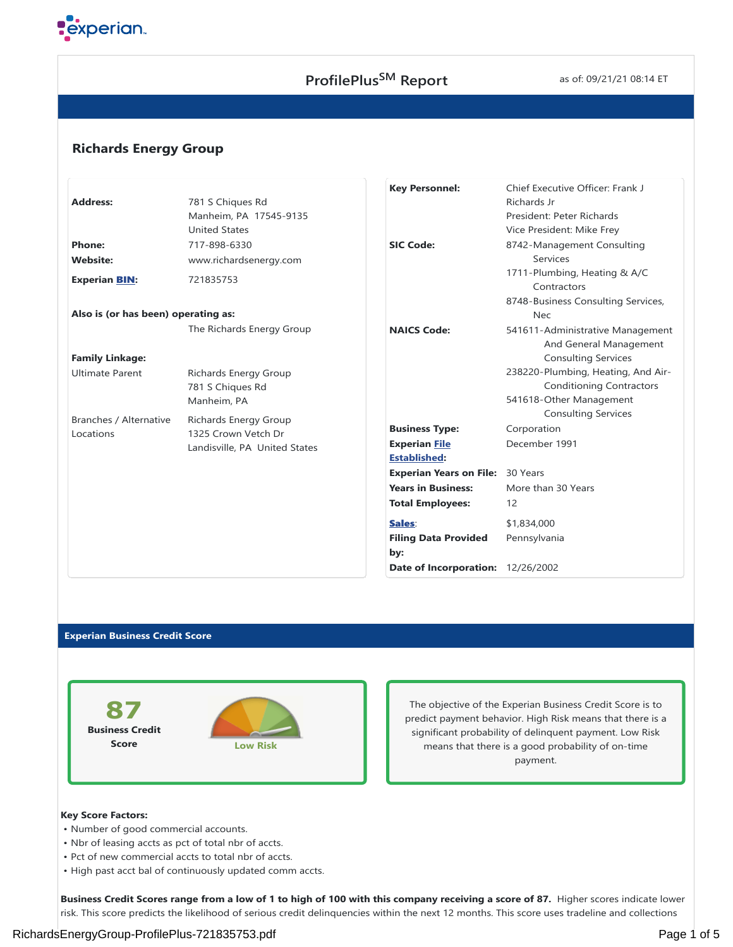

# **ProfilePlus<sup>SM</sup>** Report **SM** as of: 09/21/21 08:14 ET

# **Richards Energy Group**

|                                     |                               | <b>Key Personnel:</b>             | Chief Executive Officer: Frank J            |
|-------------------------------------|-------------------------------|-----------------------------------|---------------------------------------------|
| <b>Address:</b>                     | 781 S Chiques Rd              |                                   | Richards Jr                                 |
|                                     | Manheim, PA 17545-9135        |                                   | President: Peter Richards                   |
|                                     | <b>United States</b>          |                                   | Vice President: Mike Frey                   |
| <b>Phone:</b>                       | 717-898-6330                  | <b>SIC Code:</b>                  | 8742-Management Consulting                  |
| <b>Website:</b>                     | www.richardsenergy.com        |                                   | Services                                    |
| <b>Experian BIN:</b>                | 721835753                     |                                   | 1711-Plumbing, Heating & A/C<br>Contractors |
|                                     |                               |                                   | 8748-Business Consulting Services,          |
| Also is (or has been) operating as: |                               |                                   | <b>Nec</b>                                  |
|                                     | The Richards Energy Group     | <b>NAICS Code:</b>                | 541611-Administrative Management            |
|                                     |                               |                                   | And General Management                      |
| <b>Family Linkage:</b>              |                               |                                   | <b>Consulting Services</b>                  |
| <b>Ultimate Parent</b>              | Richards Energy Group         |                                   | 238220-Plumbing, Heating, And Air-          |
|                                     | 781 S Chiques Rd              |                                   | <b>Conditioning Contractors</b>             |
|                                     | Manheim, PA                   |                                   | 541618-Other Management                     |
| Branches / Alternative              | <b>Richards Energy Group</b>  |                                   | <b>Consulting Services</b>                  |
| Locations                           | 1325 Crown Vetch Dr           | <b>Business Type:</b>             | Corporation                                 |
|                                     | Landisville, PA United States | <b>Experian File</b>              | December 1991                               |
|                                     |                               | <b>Established:</b>               |                                             |
|                                     |                               | <b>Experian Years on File:</b>    | 30 Years                                    |
|                                     |                               | <b>Years in Business:</b>         | More than 30 Years                          |
|                                     |                               | <b>Total Employees:</b>           | 12                                          |
|                                     |                               | Sales:                            | \$1,834,000                                 |
|                                     |                               | <b>Filing Data Provided</b>       | Pennsylvania                                |
|                                     |                               | by:                               |                                             |
|                                     |                               | Date of Incorporation: 12/26/2002 |                                             |

#### **Experian Business Credit Score**



The objective of the Experian Business Credit Score is to predict payment behavior. High Risk means that there is a significant probability of delinquent payment. Low Risk means that there is a good probability of on-time payment.

## **Key Score Factors:**

- Number of good commercial accounts.
- Nbr of leasing accts as pct of total nbr of accts.
- Pct of new commercial accts to total nbr of accts.
- High past acct bal of continuously updated comm accts.

**Business Credit Scores range from a low of 1 to high of 100 with this company receiving a score of 87.** Higher scores indicate lower risk. This score predicts the likelihood of serious credit delinquencies within the next 12 months. This score uses tradeline and collections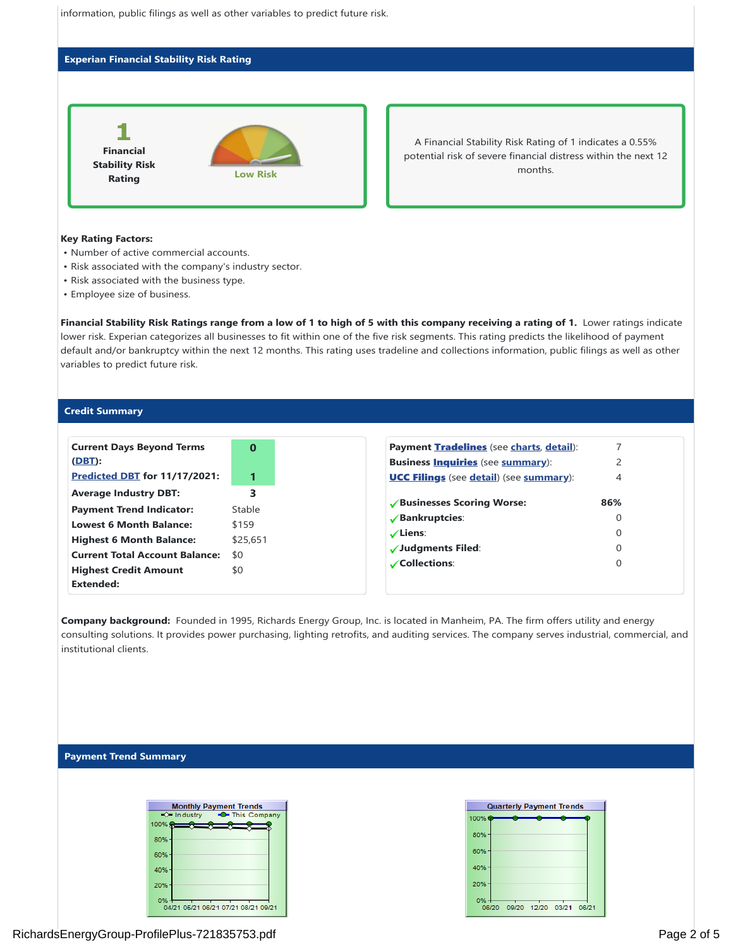

### **Experian Financial Stability Risk Rating**



A Financial Stability Risk Rating of 1 indicates a 0.55% potential risk of severe financial distress within the next 12 months.

#### **Key Rating Factors:**

- Number of active commercial accounts.
- Risk associated with the company's industry sector.
- Risk associated with the business type.
- Employee size of business.

Financial Stability Risk Ratings range from a low of 1 to high of 5 with this company receiving a rating of 1. Lower ratings indicate lower risk. Experian categorizes all businesses to fit within one of the five risk segments. This rating predicts the likelihood of payment default and/or bankruptcy within the next 12 months. This rating uses tradeline and collections information, public filings as well as other variables to predict future risk.

#### **Credit Summary**

| <b>Current Days Beyond Terms</b><br>(DBT): | $\Omega$ |
|--------------------------------------------|----------|
| Predicted DBT for 11/17/2021:              |          |
| <b>Average Industry DBT:</b>               | 3        |
| <b>Payment Trend Indicator:</b>            | Stable   |
| <b>Lowest 6 Month Balance:</b>             | \$159    |
| <b>Highest 6 Month Balance:</b>            | \$25,651 |
| <b>Current Total Account Balance:</b>      | \$0      |
|                                            |          |
| <b>Highest Credit Amount</b>               | \$0      |
| <b>Extended:</b>                           |          |

Company background: Founded in 1995, Richards Energy Group, Inc. is located in Manheim, PA. The firm offers utility and energy consulting solutions. It provides power purchasing, lighting retrofits, and auditing services. The company serves industrial, commercial, and institutional clients.

## **Payment Trend Summary**

| <b>Monthly Payment Trends</b> |                                     |  |  |  |  |  |  |
|-------------------------------|-------------------------------------|--|--|--|--|--|--|
| $\Rightarrow$ Industry        | <b>C</b> -This Company              |  |  |  |  |  |  |
| 100% <del>Q</del>             |                                     |  |  |  |  |  |  |
| 80%                           |                                     |  |  |  |  |  |  |
| 60%                           |                                     |  |  |  |  |  |  |
| 40%                           |                                     |  |  |  |  |  |  |
| 20%                           |                                     |  |  |  |  |  |  |
| ሰ%                            | 04/21 05/21 06/21 07/21 08/21 09/21 |  |  |  |  |  |  |

| <b>Quarterly Payment Trends</b> |       |  |                   |  |       |  |  |  |
|---------------------------------|-------|--|-------------------|--|-------|--|--|--|
| 100%                            |       |  |                   |  |       |  |  |  |
| 80%                             |       |  |                   |  |       |  |  |  |
| 60%                             |       |  |                   |  |       |  |  |  |
| 40%                             |       |  |                   |  |       |  |  |  |
| 20%                             |       |  |                   |  |       |  |  |  |
| 0%                              | 06/20 |  | 09/20 12/20 03/21 |  | 06/21 |  |  |  |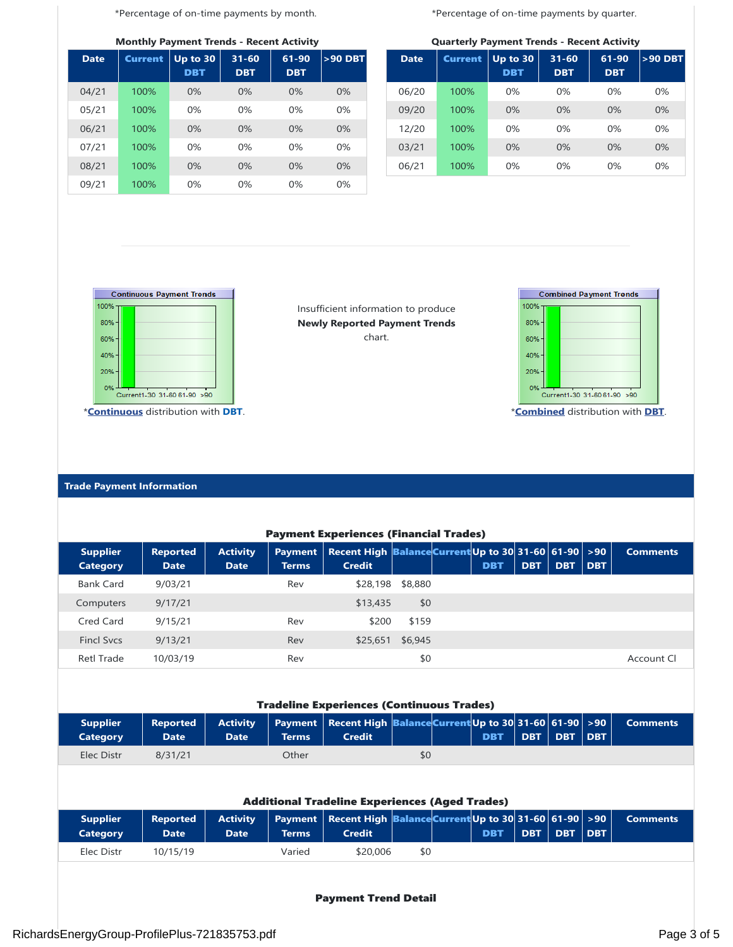\*Percentage of on-time payments by month.

**Monthly Payment Trends - Recent Activity**

| <b>Date</b> | <b>Current</b> | Up to 30<br><b>DBT</b> | $31 - 60$<br><b>DBT</b> | 61-90<br><b>DBT</b> | $>90$ DBT |  |  |
|-------------|----------------|------------------------|-------------------------|---------------------|-----------|--|--|
| 04/21       | 100%           | $0\%$                  | $0\%$                   | 0%                  | 0%        |  |  |
| 05/21       | 100%           | 0%                     | 0%                      | 0%                  | 0%        |  |  |
| 06/21       | 100%           | 0%                     | 0%                      | 0%                  | 0%        |  |  |
| 07/21       | 100%           | 0%                     | 0%                      | 0%                  | 0%        |  |  |
| 08/21       | 100%           | 0%                     | $0\%$                   | 0%                  | $0\%$     |  |  |
| 09/21       | 100%           | 0%                     | 0%                      | 0%                  | 0%        |  |  |

\*Percentage of on-time payments by quarter.

**Quarterly Payment Trends - Recent Activity**

|             |                |                        |                         | -                   |           |
|-------------|----------------|------------------------|-------------------------|---------------------|-----------|
| <b>Date</b> | <b>Current</b> | Up to 30<br><b>DBT</b> | $31 - 60$<br><b>DBT</b> | 61-90<br><b>DBT</b> | $>90$ DBT |
| 06/20       | 100%           | 0%                     | 0%                      | $0\%$               | 0%        |
| 09/20       | 100%           | 0%                     | 0%                      | 0%                  | 0%        |
| 12/20       | 100%           | 0%                     | 0%                      | $0\%$               | 0%        |
| 03/21       | 100%           | 0%                     | 0%                      | 0%                  | 0%        |
| 06/21       | 100%           | 0%                     | 0%                      | 0%                  | 0%        |



\***Continuous** distribution with **DBT**.

Insufficient information to produce **Newly Reported Payment Trends** chart.



\***Combined** distribution with **DBT**.

# **Trade Payment Information**

| <b>Payment Experiences (Financial Trades)</b>         |                                |                                |                                |                                                                        |         |  |            |            |            |            |                 |
|-------------------------------------------------------|--------------------------------|--------------------------------|--------------------------------|------------------------------------------------------------------------|---------|--|------------|------------|------------|------------|-----------------|
| <b>Supplier</b><br><b>Category</b>                    | <b>Reported</b><br><b>Date</b> | <b>Activity</b><br><b>Date</b> | <b>Payment</b><br><b>Terms</b> | Recent High Balance Current Up to 30 31-60 61-90 > 90<br><b>Credit</b> |         |  | <b>DBT</b> | <b>DBT</b> | <b>DBT</b> | <b>DBT</b> | <b>Comments</b> |
| <b>Bank Card</b>                                      | 9/03/21                        |                                | Rev                            | \$28,198                                                               | \$8,880 |  |            |            |            |            |                 |
| Computers                                             | 9/17/21                        |                                |                                | \$13,435                                                               | \$0     |  |            |            |            |            |                 |
| Cred Card                                             | 9/15/21                        |                                | Rev                            | \$200                                                                  | \$159   |  |            |            |            |            |                 |
| <b>Fincl Sycs</b>                                     | 9/13/21                        |                                | Rev                            | \$25,651                                                               | \$6,945 |  |            |            |            |            |                 |
| <b>Retl Trade</b>                                     | 10/03/19                       |                                | Rev                            |                                                                        | \$0     |  |            |            |            |            | Account Cl      |
|                                                       |                                |                                |                                |                                                                        |         |  |            |            |            |            |                 |
|                                                       |                                |                                |                                | <b>Tradeline Experiences (Continuous Trades)</b>                       |         |  |            |            |            |            |                 |
| <b>Supplier</b><br><b>Category</b>                    | <b>Reported</b><br><b>Date</b> | <b>Activity</b><br><b>Date</b> | <b>Payment</b><br><b>Terms</b> | Recent High Balance Current Up to 30 31-60 61-90 >90<br><b>Credit</b>  |         |  | <b>DBT</b> | <b>DBT</b> | <b>DBT</b> | <b>DBT</b> | <b>Comments</b> |
| Elec Distr                                            | 8/31/21                        |                                | Other                          |                                                                        | \$0     |  |            |            |            |            |                 |
| <b>Additional Tradeline Experiences (Aged Trades)</b> |                                |                                |                                |                                                                        |         |  |            |            |            |            |                 |
| <b>Supplier</b>                                       | <b>Reported</b>                | <b>Activity</b>                | <b>Payment</b>                 | Recent High <b>Balance Current</b> Up to 30 31-60 61-90 > 90           |         |  |            |            |            |            | <b>Comments</b> |
| <b>Category</b>                                       | <b>Date</b>                    | <b>Date</b>                    | <b>Terms</b>                   | <b>Credit</b>                                                          |         |  | <b>DBT</b> | <b>DBT</b> | <b>DBT</b> | <b>DBT</b> |                 |
| Elec Distr                                            | 10/15/19                       |                                | Varied                         | \$20,006                                                               | \$0     |  |            |            |            |            |                 |
|                                                       |                                |                                |                                |                                                                        |         |  |            |            |            |            |                 |

# Payment Trend Detail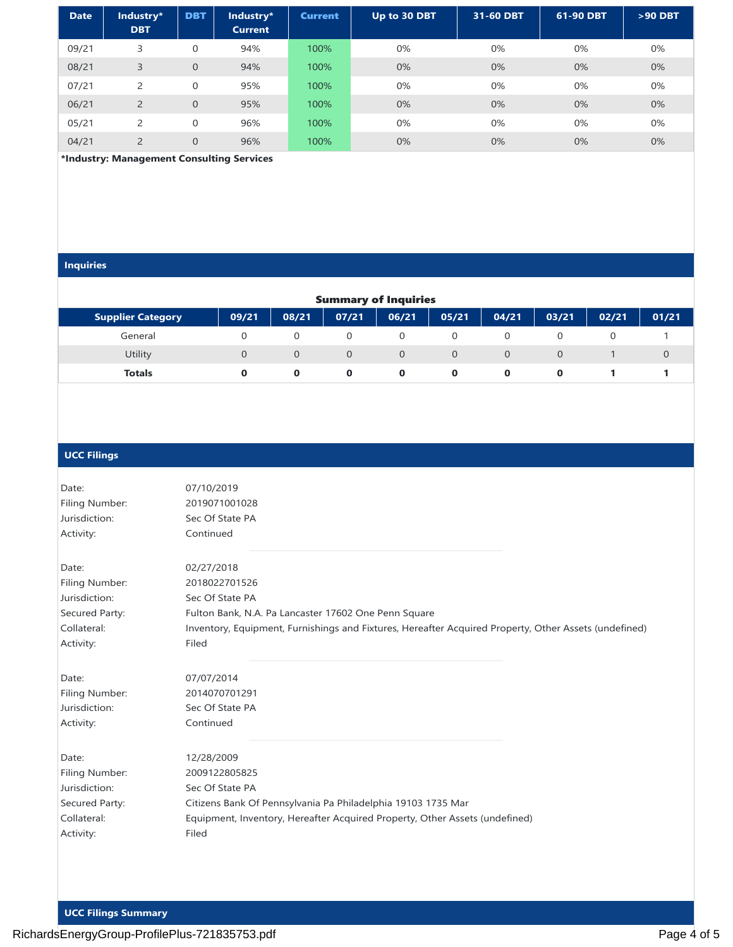| <b>Date</b> | Industry*<br><b>DBT</b> | <b>DBT</b>     | Industry*<br><b>Current</b> | <b>Current</b> | Up to 30 DBT | 31-60 DBT | 61-90 DBT | $>90$ DBT |
|-------------|-------------------------|----------------|-----------------------------|----------------|--------------|-----------|-----------|-----------|
| 09/21       | 3                       | $\mathbf{0}$   | 94%                         | 100%           | 0%           | 0%        | 0%        | 0%        |
| 08/21       | 3                       | $\overline{0}$ | 94%                         | 100%           | 0%           | 0%        | 0%        | 0%        |
| 07/21       | $\overline{2}$          | 0              | 95%                         | 100%           | 0%           | 0%        | 0%        | 0%        |
| 06/21       | $\overline{2}$          | $\overline{0}$ | 95%                         | 100%           | 0%           | 0%        | 0%        | 0%        |
| 05/21       | $\overline{2}$          | $\mathbf{0}$   | 96%                         | 100%           | 0%           | 0%        | 0%        | 0%        |
| 04/21       | $\overline{2}$          | 0              | 96%                         | 100%           | 0%           | $0\%$     | $0\%$     | 0%        |

 **\*Industry: Management Consulting Services**

#### **Inquiries**

| <b>Summary of Inquiries</b> |       |          |          |          |                |          |       |       |       |  |
|-----------------------------|-------|----------|----------|----------|----------------|----------|-------|-------|-------|--|
| <b>Supplier Category</b>    | 09/21 | 08/21    | 07/21    | 06/21    | 05/21          | 04/21    | 03/21 | 02/21 | 01/21 |  |
| General                     |       | $\Omega$ |          |          |                |          |       |       |       |  |
| Utility                     |       | $\Omega$ | $\Omega$ | $\Omega$ | $\overline{0}$ | $\Omega$ |       |       |       |  |
| <b>Totals</b>               |       | 0        | $\bf{o}$ | 0        | 0              | $\bf{0}$ |       |       |       |  |

#### **UCC Filings**

| Date:          | 07/10/2019                                                                                            |
|----------------|-------------------------------------------------------------------------------------------------------|
| Filing Number: | 2019071001028                                                                                         |
| Jurisdiction:  | Sec Of State PA                                                                                       |
| Activity:      | Continued                                                                                             |
| Date:          | 02/27/2018                                                                                            |
| Filing Number: | 2018022701526                                                                                         |
| Jurisdiction:  | Sec Of State PA                                                                                       |
| Secured Party: | Fulton Bank, N.A. Pa Lancaster 17602 One Penn Square                                                  |
| Collateral:    | Inventory, Equipment, Furnishings and Fixtures, Hereafter Acquired Property, Other Assets (undefined) |
| Activity:      | Filed                                                                                                 |
| Date:          | 07/07/2014                                                                                            |
| Filing Number: | 2014070701291                                                                                         |
| Jurisdiction:  | Sec Of State PA                                                                                       |
| Activity:      | Continued                                                                                             |
| Date:          | 12/28/2009                                                                                            |
| Filing Number: | 2009122805825                                                                                         |
| Jurisdiction:  | Sec Of State PA                                                                                       |
| Secured Party: | Citizens Bank Of Pennsylvania Pa Philadelphia 19103 1735 Mar                                          |
| Collateral:    | Equipment, Inventory, Hereafter Acquired Property, Other Assets (undefined)                           |
| Activity:      | Filed                                                                                                 |
|                |                                                                                                       |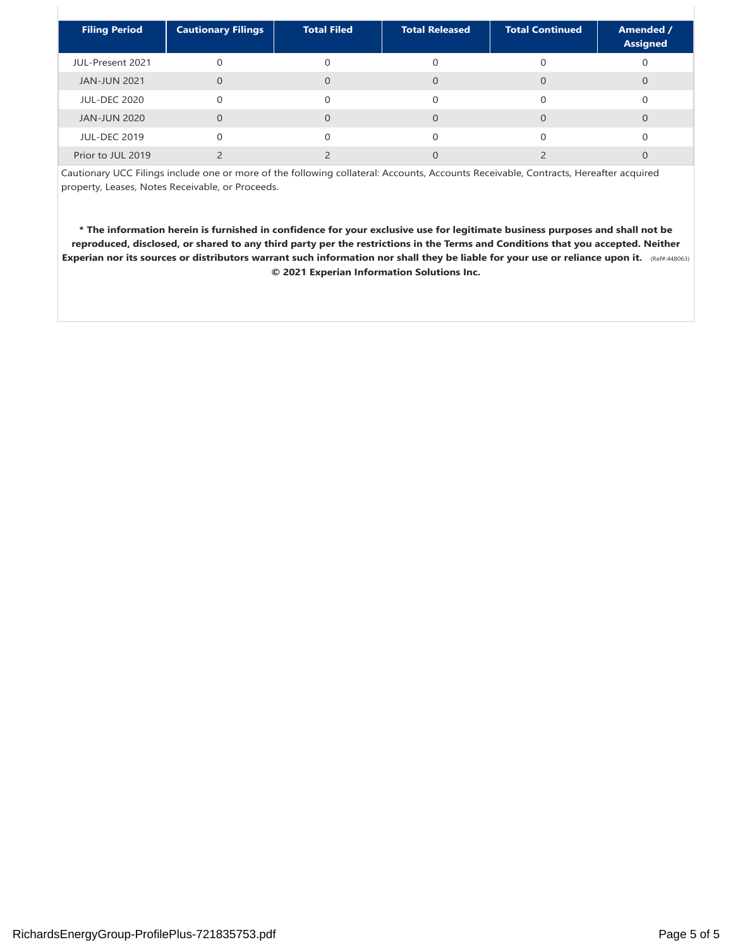| <b>Filing Period</b> | <b>Cautionary Filings</b> | <b>Total Filed</b> | <b>Total Released</b> | <b>Total Continued</b> | Amended /<br><b>Assigned</b> |
|----------------------|---------------------------|--------------------|-----------------------|------------------------|------------------------------|
| JUL-Present 2021     |                           |                    |                       |                        |                              |
| <b>JAN-JUN 2021</b>  | $\Omega$                  | $\Omega$           | $\Omega$              |                        |                              |
| <b>JUL-DEC 2020</b>  | $\Omega$                  | $\Omega$           |                       |                        |                              |
| <b>JAN-JUN 2020</b>  | $\Omega$                  | $\Omega$           |                       |                        |                              |
| <b>JUL-DEC 2019</b>  |                           | $\Omega$           |                       |                        |                              |
| Prior to JUL 2019    |                           |                    |                       |                        |                              |

Cautionary UCC Filings include one or more of the following collateral: Accounts, Accounts Receivable, Contracts, Hereafter acquired property, Leases, Notes Receivable, or Proceeds.

**\* The information herein is furnished in confidence for your exclusive use for legitimate business purposes and shall not be reproduced, disclosed, or shared to any third party per the restrictions in the Terms and Conditions that you accepted. Neither Experian nor its sources or distributors warrant such information nor shall they be liable for your use or reliance upon it.** (Ref#:448063) **© 2021 Experian Information Solutions Inc.**

 $\begin{array}{c} \hline \end{array}$